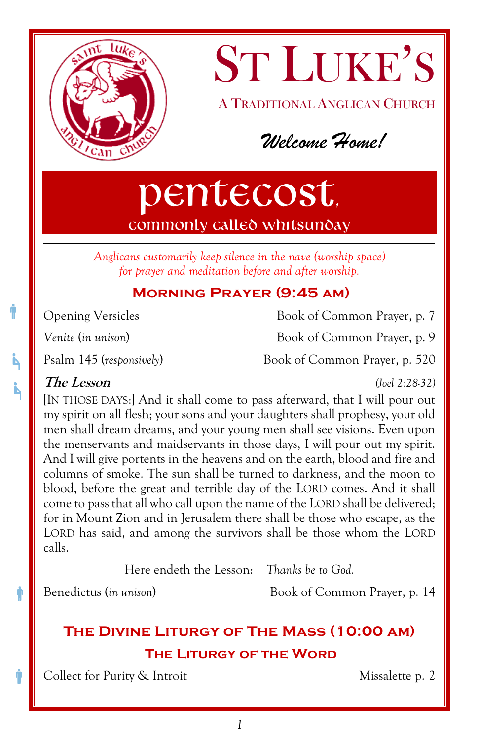

ST LUKE'S A TRADITIONAL ANGLICAN CHURCH

*Welcome Home!*

# Pentecost, commonly called Whitsunday

*Anglicans customarily keep silence in the nave (worship space) for prayer and meditation before and after worship.*

# **Morning Prayer (9:45 am)**

Ť

Ă

Ť

Ŵ

Opening Versicles Book of Common Prayer, p. 7

*Venite* (*in unison*) Book of Common Prayer, p. 9

Psalm 145 (*responsively*) Book of Common Prayer, p. 520

# **The Lesson** *(Joel 2:28-32)*

[IN THOSE DAYS:] And it shall come to pass afterward, that I will pour out my spirit on all flesh; your sons and your daughters shall prophesy, your old men shall dream dreams, and your young men shall see visions. Even upon the menservants and maidservants in those days, I will pour out my spirit. And I will give portents in the heavens and on the earth, blood and fire and columns of smoke. The sun shall be turned to darkness, and the moon to blood, before the great and terrible day of the LORD comes. And it shall come to pass that all who call upon the name of the LORD shall be delivered; for in Mount Zion and in Jerusalem there shall be those who escape, as the LORD has said, and among the survivors shall be those whom the LORD calls.

Here endeth the Lesson: *Thanks be to God.*

Benedictus (*in unison*) Book of Common Prayer, p. 14

# **The Divine Liturgy of The Mass (10:00 am) THE Liturgy of the Word**

Collect for Purity & Introit Missalette p. 2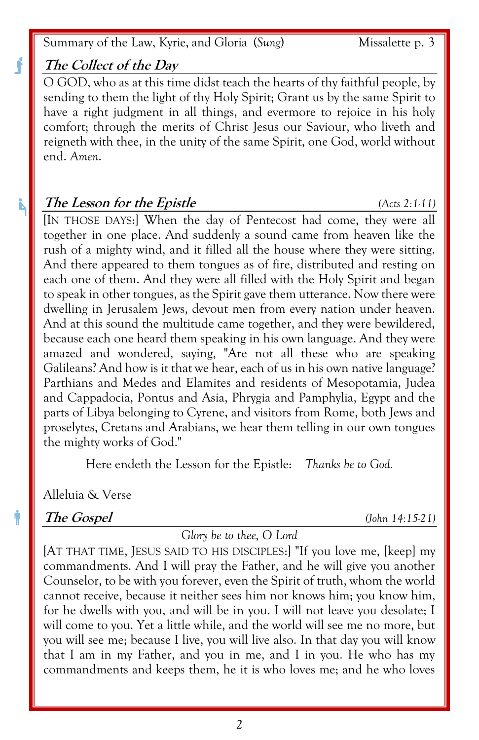Summary of the Law, Kyrie, and Gloria (*Sung*) Missalette p. 3

### **The Collect of the Day**

O GOD, who as at this time didst teach the hearts of thy faithful people, by sending to them the light of thy Holy Spirit; Grant us by the same Spirit to have a right judgment in all things, and evermore to rejoice in his holy comfort; through the merits of Christ Jesus our Saviour, who liveth and reigneth with thee, in the unity of the same Spirit, one God, world without end. *Amen*.

#### **The Lesson for the Epistle** *(Acts 2:1-11)*

[IN THOSE DAYS:] When the day of Pentecost had come, they were all together in one place. And suddenly a sound came from heaven like the rush of a mighty wind, and it filled all the house where they were sitting. And there appeared to them tongues as of fire, distributed and resting on each one of them. And they were all filled with the Holy Spirit and began to speak in other tongues, as the Spirit gave them utterance. Now there were dwelling in Jerusalem Jews, devout men from every nation under heaven. And at this sound the multitude came together, and they were bewildered, because each one heard them speaking in his own language. And they were amazed and wondered, saying, "Are not all these who are speaking Galileans? And how is it that we hear, each of us in his own native language? Parthians and Medes and Elamites and residents of Mesopotamia, Judea and Cappadocia, Pontus and Asia, Phrygia and Pamphylia, Egypt and the parts of Libya belonging to Cyrene, and visitors from Rome, both Jews and proselytes, Cretans and Arabians, we hear them telling in our own tongues the mighty works of God."

Here endeth the Lesson for the Epistle: *Thanks be to God.*

Alleluia & Verse

### **The Gospel** *(John 14:15-21)*

#### *Glory be to thee, O Lord*

[AT THAT TIME, JESUS SAID TO HIS DISCIPLES:] "If you love me, [keep] my commandments. And I will pray the Father, and he will give you another Counselor, to be with you forever, even the Spirit of truth, whom the world cannot receive, because it neither sees him nor knows him; you know him, for he dwells with you, and will be in you. I will not leave you desolate; I will come to you. Yet a little while, and the world will see me no more, but you will see me; because I live, you will live also. In that day you will know that I am in my Father, and you in me, and I in you. He who has my commandments and keeps them, he it is who loves me; and he who loves

Å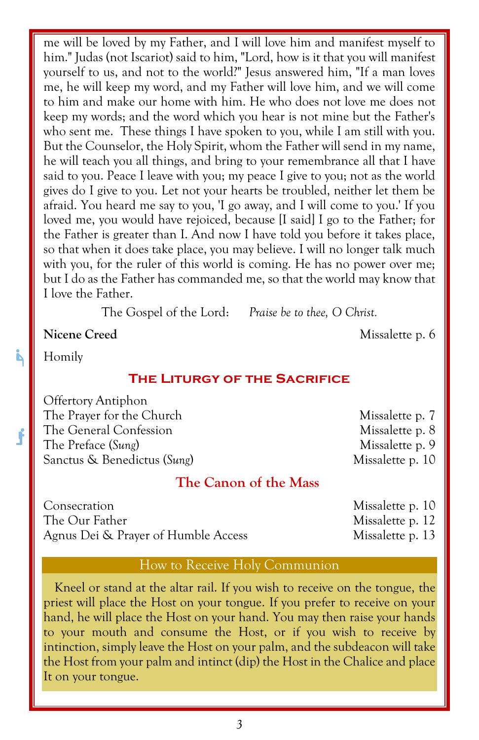me will be loved by my Father, and I will love him and manifest myself to him." Judas (not Iscariot) said to him, "Lord, how is it that you will manifest yourself to us, and not to the world?" Jesus answered him, "If a man loves me, he will keep my word, and my Father will love him, and we will come to him and make our home with him. He who does not love me does not keep my words; and the word which you hear is not mine but the Father's who sent me. These things I have spoken to you, while I am still with you. But the Counselor, the Holy Spirit, whom the Father will send in my name, he will teach you all things, and bring to your remembrance all that I have said to you. Peace I leave with you; my peace I give to you; not as the world gives do I give to you. Let not your hearts be troubled, neither let them be afraid. You heard me say to you, 'I go away, and I will come to you.' If you loved me, you would have rejoiced, because [I said] I go to the Father; for the Father is greater than I. And now I have told you before it takes place, so that when it does take place, you may believe. I will no longer talk much with you, for the ruler of this world is coming. He has no power over me; but I do as the Father has commanded me, so that the world may know that I love the Father.

The Gospel of the Lord: *Praise be to thee, O Christ.*

**Nicene** Creed Missalette p. 6

Homily

j,

f

#### **The Liturgy of the Sacrifice**

Offertory Antiphon The Prayer for the Church Missalette p. 7 The General Confession Missalette p. 8 The Preface (*Sung*) Missalette p. 9 Sanctus & Benedictus (*Sung*) Missalette p. 10

## **The Canon of the Mass**

Consecration Missalette p. 10 The Our Father Missalette p. 12 Agnus Dei & Prayer of Humble Access Missalette p. 13

#### How to Receive Holy Communion

Kneel or stand at the altar rail. If you wish to receive on the tongue, the priest will place the Host on your tongue. If you prefer to receive on your hand, he will place the Host on your hand. You may then raise your hands to your mouth and consume the Host, or if you wish to receive by intinction, simply leave the Host on your palm, and the subdeacon will take the Host from your palm and intinct (dip) the Host in the Chalice and place It on your tongue.